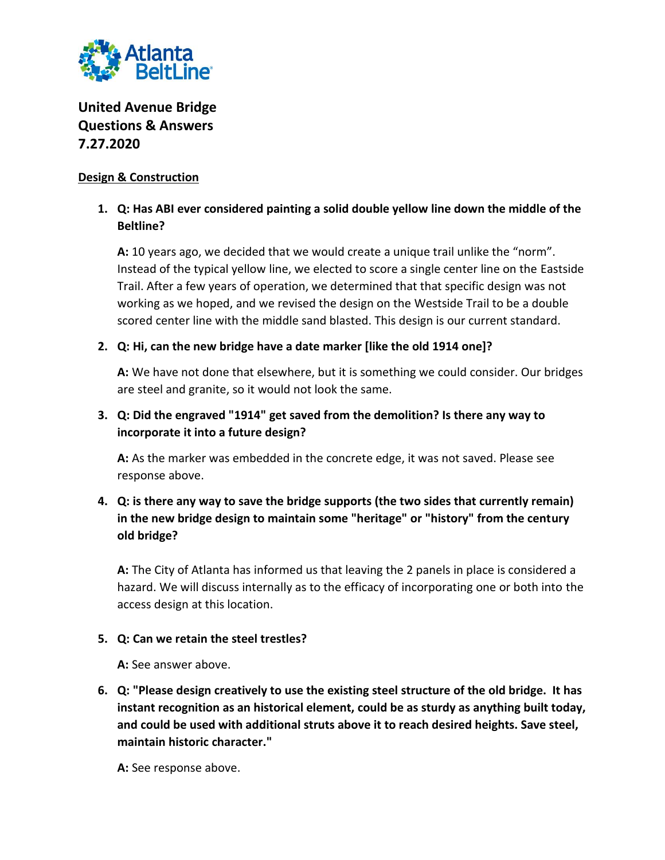

# **United Avenue Bridge Questions & Answers 7.27.2020**

### **Design & Construction**

## **1. Q: Has ABI ever considered painting a solid double yellow line down the middle of the Beltline?**

**A:** 10 years ago, we decided that we would create a unique trail unlike the "norm". Instead of the typical yellow line, we elected to score a single center line on the Eastside Trail. After a few years of operation, we determined that that specific design was not working as we hoped, and we revised the design on the Westside Trail to be a double scored center line with the middle sand blasted. This design is our current standard.

### **2. Q: Hi, can the new bridge have a date marker [like the old 1914 one]?**

**A:** We have not done that elsewhere, but it is something we could consider. Our bridges are steel and granite, so it would not look the same.

## **3. Q: Did the engraved "1914" get saved from the demolition? Is there any way to incorporate it into a future design?**

**A:** As the marker was embedded in the concrete edge, it was not saved. Please see response above.

## **4. Q: is there any way to save the bridge supports (the two sides that currently remain) in the new bridge design to maintain some "heritage" or "history" from the century old bridge?**

**A:** The City of Atlanta has informed us that leaving the 2 panels in place is considered a hazard. We will discuss internally as to the efficacy of incorporating one or both into the access design at this location.

#### **5. Q: Can we retain the steel trestles?**

**A:** See answer above.

**6. Q: "Please design creatively to use the existing steel structure of the old bridge. It has instant recognition as an historical element, could be as sturdy as anything built today, and could be used with additional struts above it to reach desired heights. Save steel, maintain historic character."**

**A:** See response above.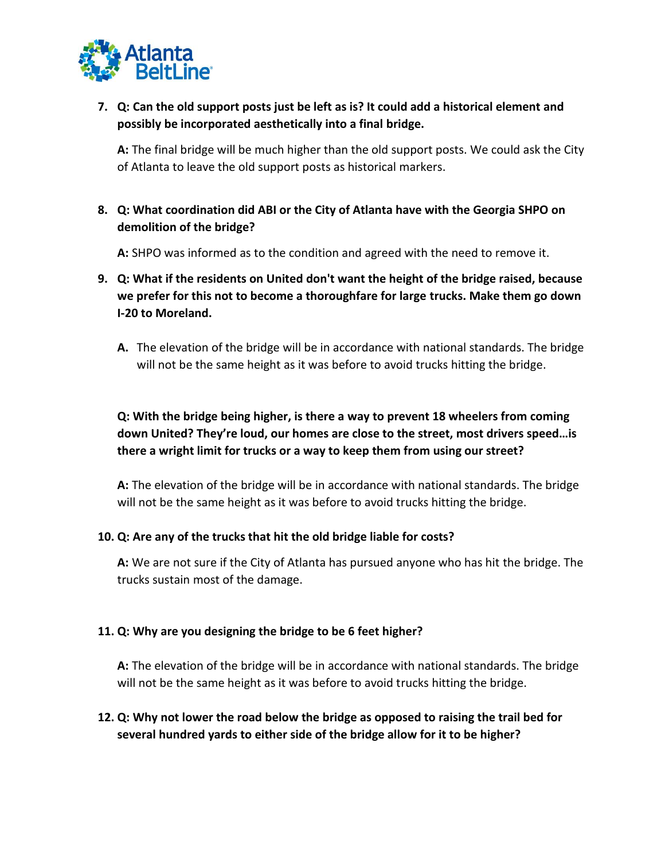

**7. Q: Can the old support posts just be left as is? It could add a historical element and possibly be incorporated aesthetically into a final bridge.**

**A:** The final bridge will be much higher than the old support posts. We could ask the City of Atlanta to leave the old support posts as historical markers.

**8. Q: What coordination did ABI or the City of Atlanta have with the Georgia SHPO on demolition of the bridge?**

**A:** SHPO was informed as to the condition and agreed with the need to remove it.

- **9. Q: What if the residents on United don't want the height of the bridge raised, because we prefer for this not to become a thoroughfare for large trucks. Make them go down I-20 to Moreland.**
	- **A.** The elevation of the bridge will be in accordance with national standards. The bridge will not be the same height as it was before to avoid trucks hitting the bridge.

## **Q: With the bridge being higher, is there a way to prevent 18 wheelers from coming down United? They're loud, our homes are close to the street, most drivers speed…is there a wright limit for trucks or a way to keep them from using our street?**

**A:** The elevation of the bridge will be in accordance with national standards. The bridge will not be the same height as it was before to avoid trucks hitting the bridge.

#### **10. Q: Are any of the trucks that hit the old bridge liable for costs?**

**A:** We are not sure if the City of Atlanta has pursued anyone who has hit the bridge. The trucks sustain most of the damage.

#### **11. Q: Why are you designing the bridge to be 6 feet higher?**

**A:** The elevation of the bridge will be in accordance with national standards. The bridge will not be the same height as it was before to avoid trucks hitting the bridge.

### **12. Q: Why not lower the road below the bridge as opposed to raising the trail bed for several hundred yards to either side of the bridge allow for it to be higher?**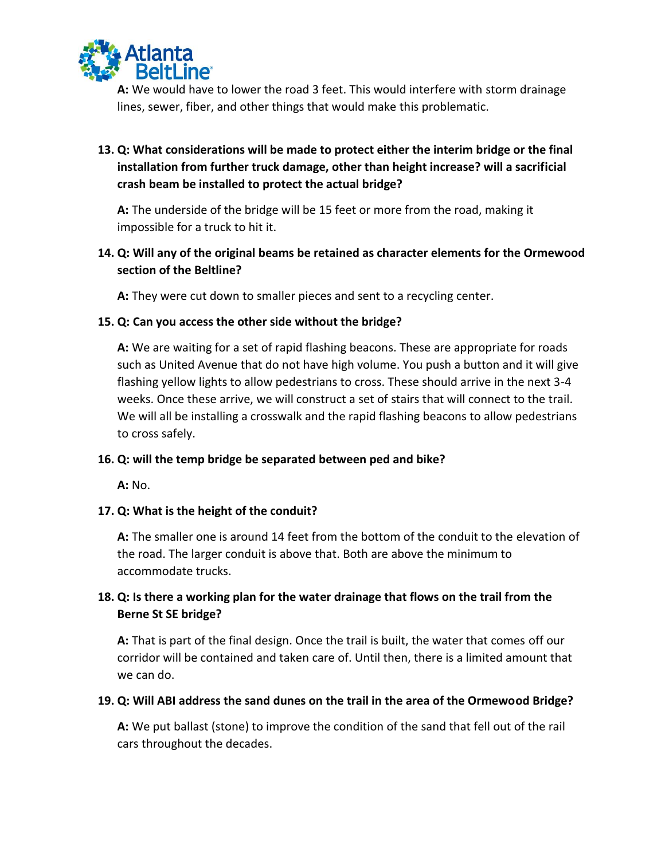

**A:** We would have to lower the road 3 feet. This would interfere with storm drainage lines, sewer, fiber, and other things that would make this problematic.

## **13. Q: What considerations will be made to protect either the interim bridge or the final installation from further truck damage, other than height increase? will a sacrificial crash beam be installed to protect the actual bridge?**

**A:** The underside of the bridge will be 15 feet or more from the road, making it impossible for a truck to hit it.

### **14. Q: Will any of the original beams be retained as character elements for the Ormewood section of the Beltline?**

**A:** They were cut down to smaller pieces and sent to a recycling center.

#### **15. Q: Can you access the other side without the bridge?**

**A:** We are waiting for a set of rapid flashing beacons. These are appropriate for roads such as United Avenue that do not have high volume. You push a button and it will give flashing yellow lights to allow pedestrians to cross. These should arrive in the next 3-4 weeks. Once these arrive, we will construct a set of stairs that will connect to the trail. We will all be installing a crosswalk and the rapid flashing beacons to allow pedestrians to cross safely.

#### **16. Q: will the temp bridge be separated between ped and bike?**

**A:** No.

### **17. Q: What is the height of the conduit?**

**A:** The smaller one is around 14 feet from the bottom of the conduit to the elevation of the road. The larger conduit is above that. Both are above the minimum to accommodate trucks.

## **18. Q: Is there a working plan for the water drainage that flows on the trail from the Berne St SE bridge?**

**A:** That is part of the final design. Once the trail is built, the water that comes off our corridor will be contained and taken care of. Until then, there is a limited amount that we can do.

#### **19. Q: Will ABI address the sand dunes on the trail in the area of the Ormewood Bridge?**

**A:** We put ballast (stone) to improve the condition of the sand that fell out of the rail cars throughout the decades.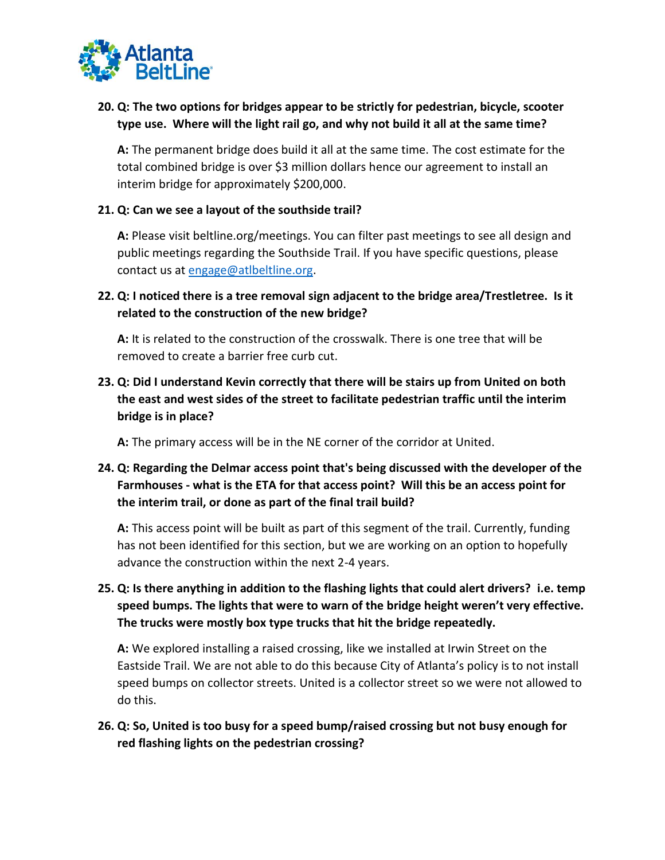

## **20. Q: The two options for bridges appear to be strictly for pedestrian, bicycle, scooter type use. Where will the light rail go, and why not build it all at the same time?**

**A:** The permanent bridge does build it all at the same time. The cost estimate for the total combined bridge is over \$3 million dollars hence our agreement to install an interim bridge for approximately \$200,000.

#### **21. Q: Can we see a layout of the southside trail?**

**A:** Please visit beltline.org/meetings. You can filter past meetings to see all design and public meetings regarding the Southside Trail. If you have specific questions, please contact us at [engage@atlbeltline.org.](mailto:engage@atlbeltline.org)

**22. Q: I noticed there is a tree removal sign adjacent to the bridge area/Trestletree. Is it related to the construction of the new bridge?**

**A:** It is related to the construction of the crosswalk. There is one tree that will be removed to create a barrier free curb cut.

**23. Q: Did I understand Kevin correctly that there will be stairs up from United on both the east and west sides of the street to facilitate pedestrian traffic until the interim bridge is in place?**

**A:** The primary access will be in the NE corner of the corridor at United.

## **24. Q: Regarding the Delmar access point that's being discussed with the developer of the Farmhouses - what is the ETA for that access point? Will this be an access point for the interim trail, or done as part of the final trail build?**

**A:** This access point will be built as part of this segment of the trail. Currently, funding has not been identified for this section, but we are working on an option to hopefully advance the construction within the next 2-4 years.

**25. Q: Is there anything in addition to the flashing lights that could alert drivers? i.e. temp speed bumps. The lights that were to warn of the bridge height weren't very effective. The trucks were mostly box type trucks that hit the bridge repeatedly.**

**A:** We explored installing a raised crossing, like we installed at Irwin Street on the Eastside Trail. We are not able to do this because City of Atlanta's policy is to not install speed bumps on collector streets. United is a collector street so we were not allowed to do this.

### **26. Q: So, United is too busy for a speed bump/raised crossing but not busy enough for red flashing lights on the pedestrian crossing?**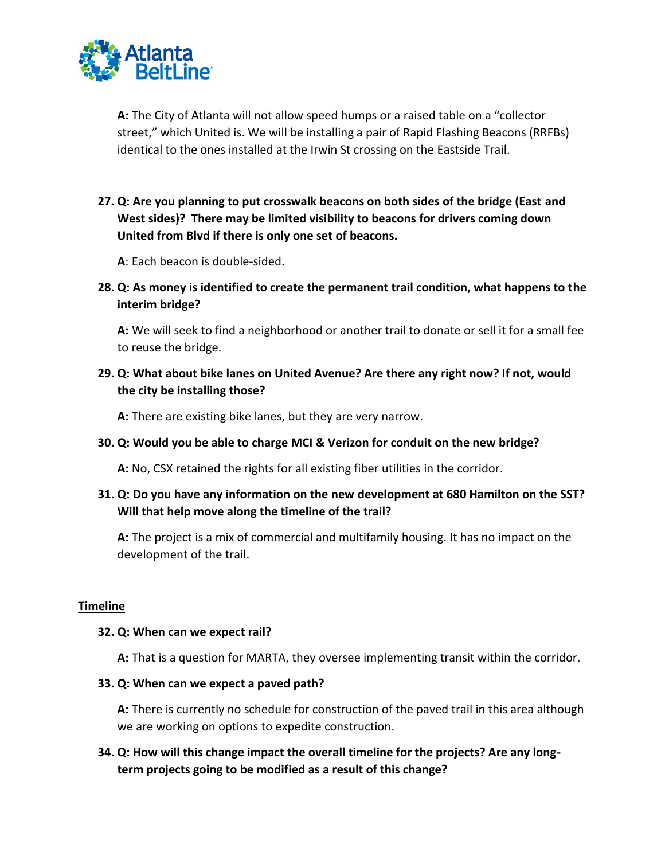

**A:** The City of Atlanta will not allow speed humps or a raised table on a "collector street," which United is. We will be installing a pair of Rapid Flashing Beacons (RRFBs) identical to the ones installed at the Irwin St crossing on the Eastside Trail.

**27. Q: Are you planning to put crosswalk beacons on both sides of the bridge (East and West sides)? There may be limited visibility to beacons for drivers coming down United from Blvd if there is only one set of beacons.**

**A**: Each beacon is double-sided.

**28. Q: As money is identified to create the permanent trail condition, what happens to the interim bridge?** 

**A:** We will seek to find a neighborhood or another trail to donate or sell it for a small fee to reuse the bridge.

**29. Q: What about bike lanes on United Avenue? Are there any right now? If not, would the city be installing those?**

**A:** There are existing bike lanes, but they are very narrow.

**30. Q: Would you be able to charge MCI & Verizon for conduit on the new bridge?**

**A:** No, CSX retained the rights for all existing fiber utilities in the corridor.

### **31. Q: Do you have any information on the new development at 680 Hamilton on the SST? Will that help move along the timeline of the trail?**

**A:** The project is a mix of commercial and multifamily housing. It has no impact on the development of the trail.

#### **Timeline**

#### **32. Q: When can we expect rail?**

**A:** That is a question for MARTA, they oversee implementing transit within the corridor.

#### **33. Q: When can we expect a paved path?**

**A:** There is currently no schedule for construction of the paved trail in this area although we are working on options to expedite construction.

### **34. Q: How will this change impact the overall timeline for the projects? Are any longterm projects going to be modified as a result of this change?**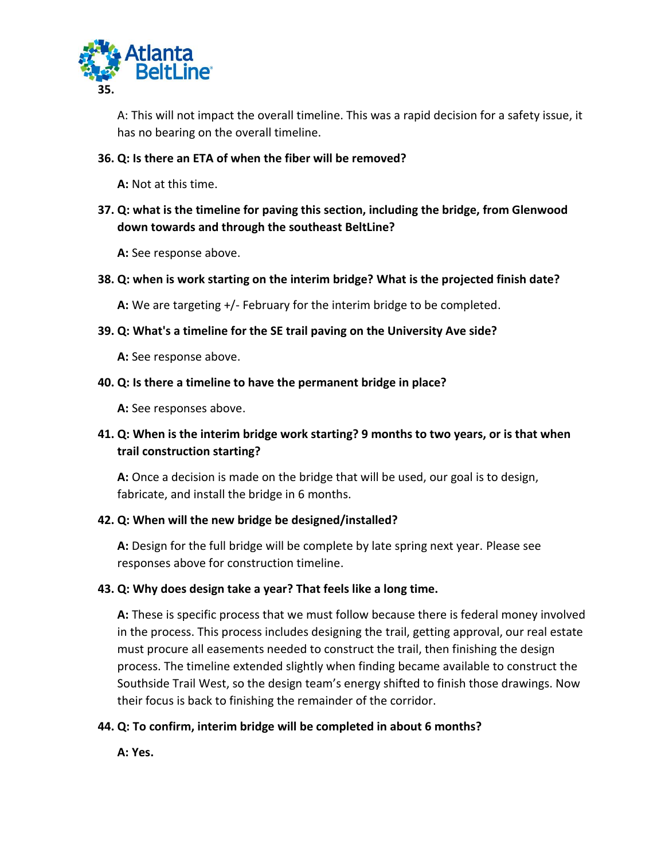

A: This will not impact the overall timeline. This was a rapid decision for a safety issue, it has no bearing on the overall timeline.

#### **36. Q: Is there an ETA of when the fiber will be removed?**

**A:** Not at this time.

**37. Q: what is the timeline for paving this section, including the bridge, from Glenwood down towards and through the southeast BeltLine?**

**A:** See response above.

#### **38. Q: when is work starting on the interim bridge? What is the projected finish date?**

**A:** We are targeting +/- February for the interim bridge to be completed.

#### **39. Q: What's a timeline for the SE trail paving on the University Ave side?**

**A:** See response above.

#### **40. Q: Is there a timeline to have the permanent bridge in place?**

**A:** See responses above.

## **41. Q: When is the interim bridge work starting? 9 months to two years, or is that when trail construction starting?**

**A:** Once a decision is made on the bridge that will be used, our goal is to design, fabricate, and install the bridge in 6 months.

### **42. Q: When will the new bridge be designed/installed?**

**A:** Design for the full bridge will be complete by late spring next year. Please see responses above for construction timeline.

### **43. Q: Why does design take a year? That feels like a long time.**

**A:** These is specific process that we must follow because there is federal money involved in the process. This process includes designing the trail, getting approval, our real estate must procure all easements needed to construct the trail, then finishing the design process. The timeline extended slightly when finding became available to construct the Southside Trail West, so the design team's energy shifted to finish those drawings. Now their focus is back to finishing the remainder of the corridor.

### **44. Q: To confirm, interim bridge will be completed in about 6 months?**

**A: Yes.**